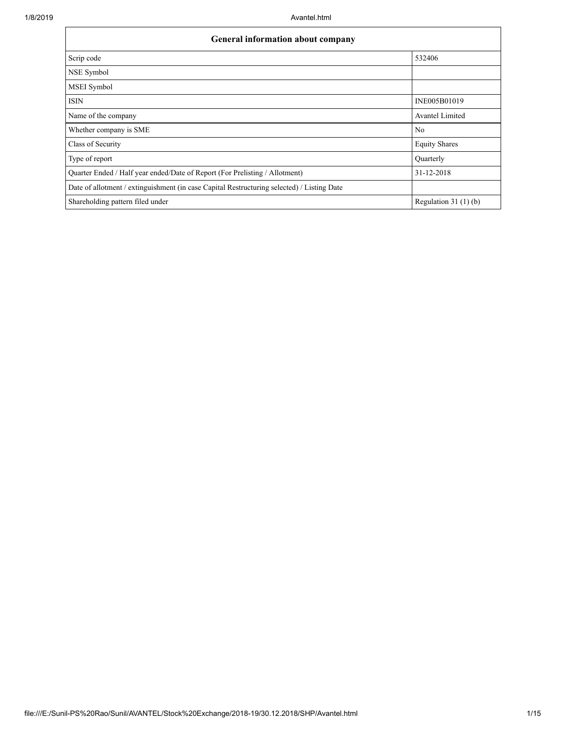| <b>General information about company</b>                                                   |                       |  |  |  |  |
|--------------------------------------------------------------------------------------------|-----------------------|--|--|--|--|
| Scrip code                                                                                 | 532406                |  |  |  |  |
| NSE Symbol                                                                                 |                       |  |  |  |  |
| MSEI Symbol                                                                                |                       |  |  |  |  |
| <b>ISIN</b>                                                                                | INE005B01019          |  |  |  |  |
| Name of the company                                                                        | Avantel Limited       |  |  |  |  |
| Whether company is SME                                                                     | No                    |  |  |  |  |
| Class of Security                                                                          | <b>Equity Shares</b>  |  |  |  |  |
| Type of report                                                                             | Ouarterly             |  |  |  |  |
| Quarter Ended / Half year ended/Date of Report (For Prelisting / Allotment)                | 31-12-2018            |  |  |  |  |
| Date of allotment / extinguishment (in case Capital Restructuring selected) / Listing Date |                       |  |  |  |  |
| Shareholding pattern filed under                                                           | Regulation $31(1)(b)$ |  |  |  |  |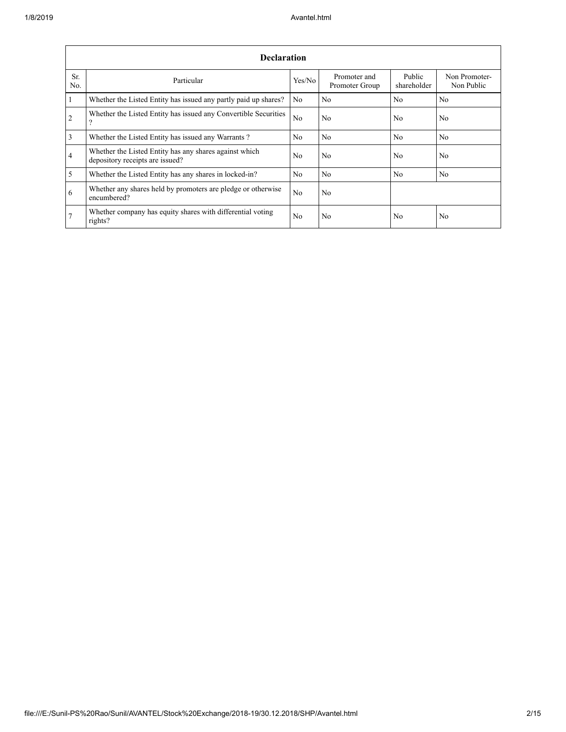|                | <b>Declaration</b>                                                                          |                |                                |                       |                             |  |  |  |  |
|----------------|---------------------------------------------------------------------------------------------|----------------|--------------------------------|-----------------------|-----------------------------|--|--|--|--|
| Sr.<br>No.     | Particular                                                                                  | Yes/No         | Promoter and<br>Promoter Group | Public<br>shareholder | Non Promoter-<br>Non Public |  |  |  |  |
| 1              | Whether the Listed Entity has issued any partly paid up shares?                             | No             | N <sub>0</sub>                 | No                    | No                          |  |  |  |  |
| $\overline{2}$ | Whether the Listed Entity has issued any Convertible Securities<br>$\overline{\mathcal{L}}$ | N <sub>o</sub> | No                             | No                    | N <sub>0</sub>              |  |  |  |  |
| $\overline{3}$ | Whether the Listed Entity has issued any Warrants?                                          | No             | No                             | No                    | N <sub>0</sub>              |  |  |  |  |
| $\overline{4}$ | Whether the Listed Entity has any shares against which<br>depository receipts are issued?   | No             | No                             | No                    | N <sub>0</sub>              |  |  |  |  |
| 5              | Whether the Listed Entity has any shares in locked-in?                                      | N <sub>0</sub> | N <sub>0</sub>                 | No.                   | N <sub>o</sub>              |  |  |  |  |
| 6              | Whether any shares held by promoters are pledge or otherwise<br>encumbered?                 | No             | No                             |                       |                             |  |  |  |  |
| $\overline{7}$ | Whether company has equity shares with differential voting<br>rights?                       | No             | N <sub>0</sub>                 | No                    | No                          |  |  |  |  |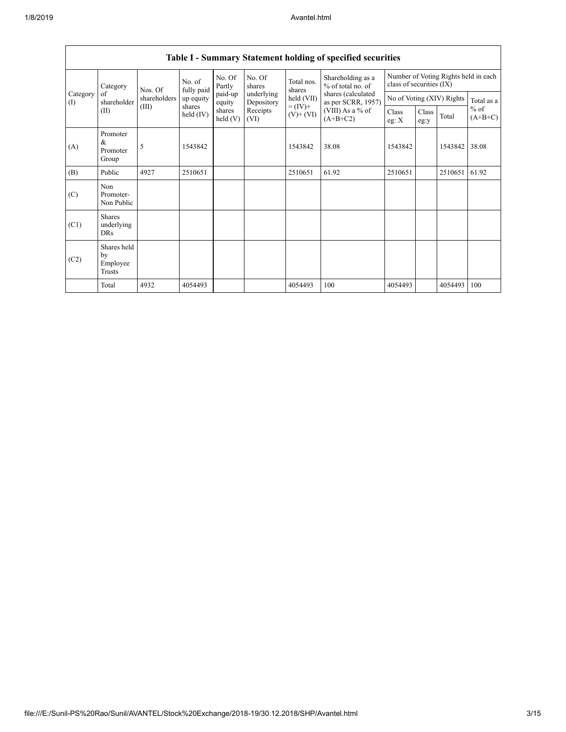|                 | Category                                  | No. of<br>fully paid<br>Nos. Of<br>shareholders<br>up equity<br>(III)<br>shares<br>held (IV) |                   | No. Of<br>Partly         | No. Of<br>shares | Total nos.<br>shares                     | Shareholding as a<br>% of total no. of | Number of Voting Rights held in each<br>class of securities (IX) |                           |            |                     |
|-----------------|-------------------------------------------|----------------------------------------------------------------------------------------------|-------------------|--------------------------|------------------|------------------------------------------|----------------------------------------|------------------------------------------------------------------|---------------------------|------------|---------------------|
| Category<br>(I) | of<br>shareholder                         |                                                                                              | paid-up<br>equity | underlying<br>Depository | held (VII)       | shares (calculated<br>as per SCRR, 1957) |                                        |                                                                  | No of Voting (XIV) Rights | Total as a |                     |
| (II)            |                                           |                                                                                              |                   | shares<br>held(V)        | Receipts<br>(VI) | $= (IV) +$<br>$(V)$ + $(VI)$             | (VIII) As a % of<br>$(A+B+C2)$         | Class<br>eg: $X$                                                 | Class<br>eg:y             | Total      | $%$ of<br>$(A+B+C)$ |
| (A)             | Promoter<br>&<br>Promoter<br>Group        | 5                                                                                            | 1543842           |                          |                  | 1543842                                  | 38.08                                  | 1543842                                                          |                           | 1543842    | 38.08               |
| (B)             | Public                                    | 4927                                                                                         | 2510651           |                          |                  | 2510651                                  | 61.92                                  | 2510651                                                          |                           | 2510651    | 61.92               |
| (C)             | <b>Non</b><br>Promoter-<br>Non Public     |                                                                                              |                   |                          |                  |                                          |                                        |                                                                  |                           |            |                     |
| (C1)            | <b>Shares</b><br>underlying<br><b>DRs</b> |                                                                                              |                   |                          |                  |                                          |                                        |                                                                  |                           |            |                     |
| (C2)            | Shares held<br>by<br>Employee<br>Trusts   |                                                                                              |                   |                          |                  |                                          |                                        |                                                                  |                           |            |                     |
|                 | Total                                     | 4932                                                                                         | 4054493           |                          |                  | 4054493                                  | 100                                    | 4054493                                                          |                           | 4054493    | 100                 |

## **Table I - Summary Statement holding of specified securities**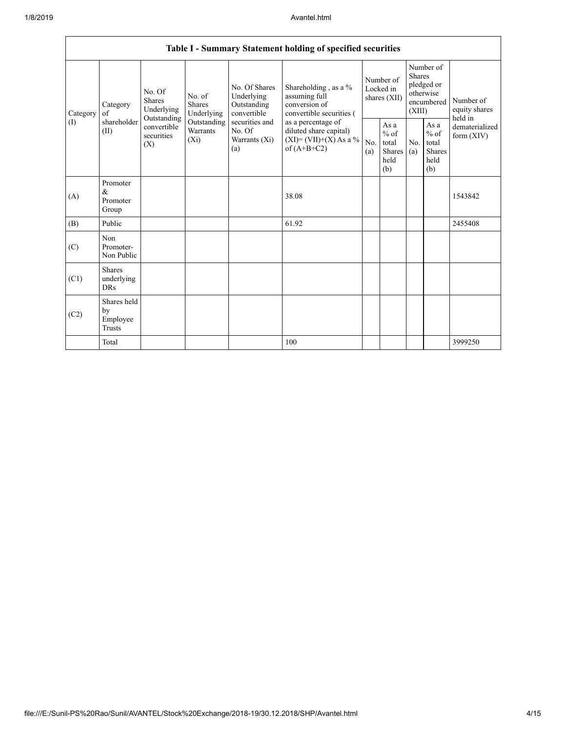|                 | Table I - Summary Statement holding of specified securities |                                                                                                                                                                         |                                                  |                                                                                          |                                                                                    |                                                  |            |                                                                               |                              |                                       |
|-----------------|-------------------------------------------------------------|-------------------------------------------------------------------------------------------------------------------------------------------------------------------------|--------------------------------------------------|------------------------------------------------------------------------------------------|------------------------------------------------------------------------------------|--------------------------------------------------|------------|-------------------------------------------------------------------------------|------------------------------|---------------------------------------|
| Category<br>(I) | Category<br>of<br>shareholder<br>(II)                       | No. Of<br>No. of<br><b>Shares</b><br><b>Shares</b><br>Underlying<br>Underlying<br>Outstanding<br>Outstanding<br>convertible<br>Warrants<br>securities<br>$(X_i)$<br>(X) |                                                  | No. Of Shares<br>Underlying<br>Outstanding<br>convertible                                | Shareholding, as a %<br>assuming full<br>conversion of<br>convertible securities ( | Number of<br>Locked in<br>shares (XII)           |            | Number of<br><b>Shares</b><br>pledged or<br>otherwise<br>encumbered<br>(XIII) |                              | Number of<br>equity shares<br>held in |
|                 |                                                             |                                                                                                                                                                         | securities and<br>No. Of<br>Warrants (Xi)<br>(a) | as a percentage of<br>diluted share capital)<br>$(XI)=(VII)+(X) As a %$<br>of $(A+B+C2)$ | No.<br>(a)                                                                         | As a<br>$%$ of<br>total<br>Shares<br>held<br>(b) | No.<br>(a) | As a<br>$%$ of<br>total<br><b>Shares</b><br>held<br>(b)                       | dematerialized<br>form (XIV) |                                       |
| (A)             | Promoter<br>&<br>Promoter<br>Group                          |                                                                                                                                                                         |                                                  |                                                                                          | 38.08                                                                              |                                                  |            |                                                                               |                              | 1543842                               |
| (B)             | Public                                                      |                                                                                                                                                                         |                                                  |                                                                                          | 61.92                                                                              |                                                  |            |                                                                               |                              | 2455408                               |
| (C)             | Non<br>Promoter-<br>Non Public                              |                                                                                                                                                                         |                                                  |                                                                                          |                                                                                    |                                                  |            |                                                                               |                              |                                       |
| (C1)            | <b>Shares</b><br>underlying<br><b>DRs</b>                   |                                                                                                                                                                         |                                                  |                                                                                          |                                                                                    |                                                  |            |                                                                               |                              |                                       |
| (C2)            | Shares held<br>by<br>Employee<br>Trusts                     |                                                                                                                                                                         |                                                  |                                                                                          |                                                                                    |                                                  |            |                                                                               |                              |                                       |
|                 | Total                                                       |                                                                                                                                                                         |                                                  |                                                                                          | 100                                                                                |                                                  |            |                                                                               |                              | 3999250                               |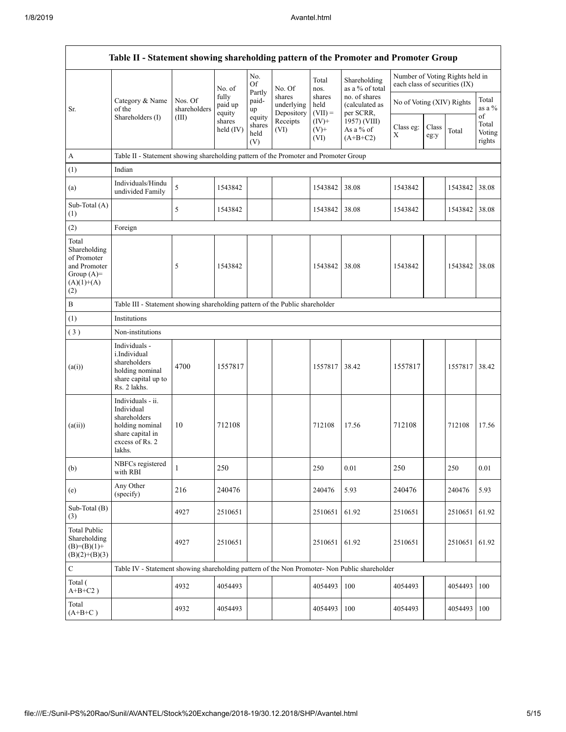|                                                                                             | Table II - Statement showing shareholding pattern of the Promoter and Promoter Group                                |                                                                              |                            |                                 |                                    |                             |                                              |                               |               |                                 |                                 |
|---------------------------------------------------------------------------------------------|---------------------------------------------------------------------------------------------------------------------|------------------------------------------------------------------------------|----------------------------|---------------------------------|------------------------------------|-----------------------------|----------------------------------------------|-------------------------------|---------------|---------------------------------|---------------------------------|
|                                                                                             |                                                                                                                     |                                                                              | No. of                     | No.<br>Of                       | No. Of                             | Total<br>nos.               | Shareholding<br>as a % of total              | each class of securities (IX) |               | Number of Voting Rights held in |                                 |
| Sr.                                                                                         | Category & Name<br>of the                                                                                           | Nos. Of<br>shareholders                                                      | fully<br>paid up<br>equity | Partly<br>paid-<br>up           | shares<br>underlying<br>Depository | shares<br>held<br>$(VII) =$ | no. of shares<br>(calculated as<br>per SCRR, | No of Voting (XIV) Rights     |               |                                 | Total<br>as a %                 |
|                                                                                             | Shareholders (I)                                                                                                    | (III)                                                                        | shares<br>held $(IV)$      | equity<br>shares<br>held<br>(V) | Receipts<br>(VI)                   | $(IV)+$<br>$(V)$ +<br>(VI)  | 1957) (VIII)<br>As a % of<br>$(A+B+C2)$      | Class eg:<br>X                | Class<br>eg:y | Total                           | of<br>Total<br>Voting<br>rights |
| A                                                                                           | Table II - Statement showing shareholding pattern of the Promoter and Promoter Group                                |                                                                              |                            |                                 |                                    |                             |                                              |                               |               |                                 |                                 |
| (1)                                                                                         | Indian                                                                                                              |                                                                              |                            |                                 |                                    |                             |                                              |                               |               |                                 |                                 |
| (a)                                                                                         | Individuals/Hindu<br>undivided Family                                                                               | 5                                                                            | 1543842                    |                                 |                                    | 1543842                     | 38.08                                        | 1543842                       |               | 1543842                         | 38.08                           |
| Sub-Total (A)<br>(1)                                                                        |                                                                                                                     | 5                                                                            | 1543842                    |                                 |                                    | 1543842                     | 38.08                                        | 1543842                       |               | 1543842 38.08                   |                                 |
| (2)                                                                                         | Foreign                                                                                                             |                                                                              |                            |                                 |                                    |                             |                                              |                               |               |                                 |                                 |
| Total<br>Shareholding<br>of Promoter<br>and Promoter<br>Group $(A)=$<br>$(A)(1)+(A)$<br>(2) |                                                                                                                     | 5                                                                            | 1543842                    |                                 |                                    | 1543842                     | 38.08                                        | 1543842                       |               | 1543842                         | 38.08                           |
| $\, {\bf B}$                                                                                |                                                                                                                     | Table III - Statement showing shareholding pattern of the Public shareholder |                            |                                 |                                    |                             |                                              |                               |               |                                 |                                 |
| (1)                                                                                         | Institutions                                                                                                        |                                                                              |                            |                                 |                                    |                             |                                              |                               |               |                                 |                                 |
| (3)                                                                                         | Non-institutions                                                                                                    |                                                                              |                            |                                 |                                    |                             |                                              |                               |               |                                 |                                 |
| (a(i))                                                                                      | Individuals -<br>i.Individual<br>shareholders<br>holding nominal<br>share capital up to<br>Rs. 2 lakhs.             | 4700                                                                         | 1557817                    |                                 |                                    | 1557817                     | 38.42                                        | 1557817                       |               | 1557817 38.42                   |                                 |
| (a(ii))                                                                                     | Individuals - ii.<br>Individual<br>shareholders<br>holding nominal<br>share capital in<br>excess of Rs. 2<br>lakhs. | 10                                                                           | 712108                     |                                 |                                    | 712108                      | 17.56                                        | 712108                        |               | 712108                          | 17.56                           |
| (b)                                                                                         | NBFCs registered<br>with RBI                                                                                        | 1                                                                            | 250                        |                                 |                                    | 250                         | 0.01                                         | 250                           |               | 250                             | 0.01                            |
| (e)                                                                                         | Any Other<br>(specify)                                                                                              | 216                                                                          | 240476                     |                                 |                                    | 240476                      | 5.93                                         | 240476                        |               | 240476                          | 5.93                            |
| Sub-Total (B)<br>(3)                                                                        |                                                                                                                     | 4927                                                                         | 2510651                    |                                 |                                    | 2510651                     | 61.92                                        | 2510651                       |               | 2510651                         | 61.92                           |
| <b>Total Public</b><br>Shareholding<br>$(B)=(B)(1)+$<br>$(B)(2)+(B)(3)$                     |                                                                                                                     | 4927                                                                         | 2510651                    |                                 |                                    | 2510651                     | 61.92                                        | 2510651                       |               | 2510651                         | 61.92                           |
| $\mathbf C$                                                                                 | Table IV - Statement showing shareholding pattern of the Non Promoter- Non Public shareholder                       |                                                                              |                            |                                 |                                    |                             |                                              |                               |               |                                 |                                 |
| Total (<br>$A+B+C2$ )                                                                       |                                                                                                                     | 4932                                                                         | 4054493                    |                                 |                                    | 4054493                     | 100                                          | 4054493                       |               | 4054493                         | 100                             |
| Total<br>$(A+B+C)$                                                                          |                                                                                                                     | 4932                                                                         | 4054493                    |                                 |                                    | 4054493                     | 100                                          | 4054493                       |               | 4054493   100                   |                                 |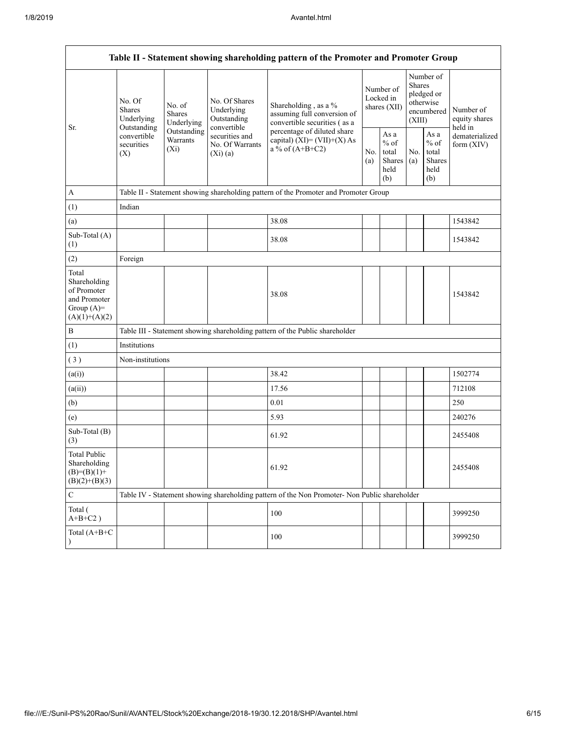| Table II - Statement showing shareholding pattern of the Promoter and Promoter Group    |                                                                                                                         |                         |                                                           |                                                                                               |                                        |                                                  |                                                                        |                                                  |                                       |
|-----------------------------------------------------------------------------------------|-------------------------------------------------------------------------------------------------------------------------|-------------------------|-----------------------------------------------------------|-----------------------------------------------------------------------------------------------|----------------------------------------|--------------------------------------------------|------------------------------------------------------------------------|--------------------------------------------------|---------------------------------------|
| Sr.                                                                                     | No. Of<br>No. of<br>Shares<br><b>Shares</b><br>Underlying<br>Outstanding<br>convertible<br>securities<br>$(X_i)$<br>(X) | Underlying              | No. Of Shares<br>Underlying<br>Outstanding<br>convertible | Shareholding, as a %<br>assuming full conversion of<br>convertible securities (as a           | Number of<br>Locked in<br>shares (XII) |                                                  | Number of<br>Shares<br>pledged or<br>otherwise<br>encumbered<br>(XIII) |                                                  | Number of<br>equity shares<br>held in |
|                                                                                         |                                                                                                                         | Outstanding<br>Warrants | securities and<br>No. Of Warrants<br>$(Xi)$ (a)           | percentage of diluted share<br>capital) $(XI) = (VII)+(X) As$<br>a % of $(A+B+C2)$            | No.<br>(a)                             | As a<br>$%$ of<br>total<br>Shares<br>held<br>(b) | No.<br>(a)                                                             | As a<br>$%$ of<br>total<br>Shares<br>held<br>(b) | dematerialized<br>form (XIV)          |
| $\mathbf{A}$                                                                            |                                                                                                                         |                         |                                                           | Table II - Statement showing shareholding pattern of the Promoter and Promoter Group          |                                        |                                                  |                                                                        |                                                  |                                       |
| (1)                                                                                     | Indian                                                                                                                  |                         |                                                           |                                                                                               |                                        |                                                  |                                                                        |                                                  |                                       |
| (a)                                                                                     |                                                                                                                         |                         |                                                           | 38.08                                                                                         |                                        |                                                  |                                                                        |                                                  | 1543842                               |
| Sub-Total (A)<br>(1)                                                                    |                                                                                                                         |                         |                                                           | 38.08                                                                                         |                                        |                                                  |                                                                        |                                                  | 1543842                               |
| (2)                                                                                     | Foreign                                                                                                                 |                         |                                                           |                                                                                               |                                        |                                                  |                                                                        |                                                  |                                       |
| Total<br>Shareholding<br>of Promoter<br>and Promoter<br>Group $(A)=$<br>$(A)(1)+(A)(2)$ |                                                                                                                         |                         |                                                           | 38.08                                                                                         |                                        |                                                  |                                                                        |                                                  | 1543842                               |
| $\, {\bf B}$                                                                            |                                                                                                                         |                         |                                                           | Table III - Statement showing shareholding pattern of the Public shareholder                  |                                        |                                                  |                                                                        |                                                  |                                       |
| (1)                                                                                     | Institutions                                                                                                            |                         |                                                           |                                                                                               |                                        |                                                  |                                                                        |                                                  |                                       |
| (3)                                                                                     | Non-institutions                                                                                                        |                         |                                                           |                                                                                               |                                        |                                                  |                                                                        |                                                  |                                       |
| (a(i))                                                                                  |                                                                                                                         |                         |                                                           | 38.42                                                                                         |                                        |                                                  |                                                                        |                                                  | 1502774                               |
| (a(ii))                                                                                 |                                                                                                                         |                         |                                                           | 17.56                                                                                         |                                        |                                                  |                                                                        |                                                  | 712108                                |
| (b)                                                                                     |                                                                                                                         |                         |                                                           | 0.01                                                                                          |                                        |                                                  |                                                                        |                                                  | 250                                   |
| (e)                                                                                     |                                                                                                                         |                         |                                                           | 5.93                                                                                          |                                        |                                                  |                                                                        |                                                  | 240276                                |
| Sub-Total (B)<br>(3)                                                                    |                                                                                                                         |                         |                                                           | 61.92                                                                                         |                                        |                                                  |                                                                        |                                                  | 2455408                               |
| <b>Total Public</b><br>Shareholding<br>$(B)=(B)(1)+$<br>$(B)(2)+(B)(3)$                 |                                                                                                                         |                         |                                                           | 61.92                                                                                         |                                        |                                                  |                                                                        |                                                  | 2455408                               |
| $\mathbf C$                                                                             |                                                                                                                         |                         |                                                           | Table IV - Statement showing shareholding pattern of the Non Promoter- Non Public shareholder |                                        |                                                  |                                                                        |                                                  |                                       |
| Total (<br>$A+B+C2$ )                                                                   |                                                                                                                         |                         |                                                           | 100                                                                                           |                                        |                                                  |                                                                        |                                                  | 3999250                               |
| Total (A+B+C<br>$\mathcal{E}$                                                           |                                                                                                                         |                         |                                                           | 100                                                                                           |                                        |                                                  |                                                                        |                                                  | 3999250                               |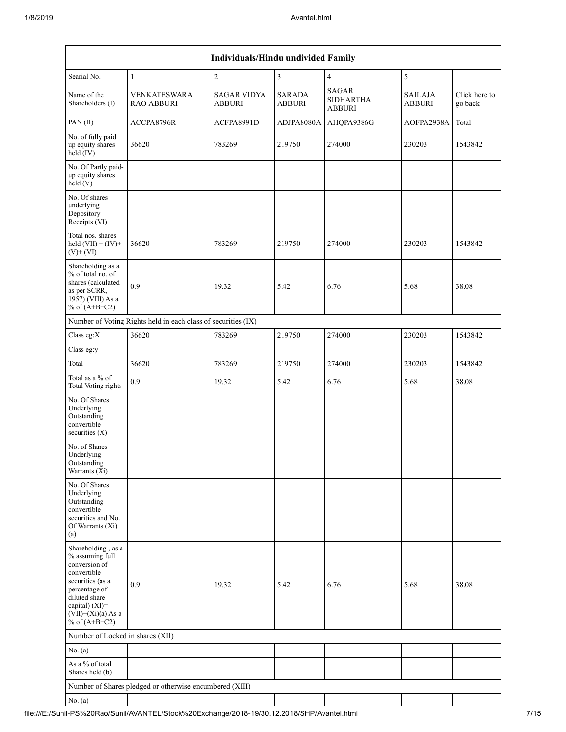|                                                                                                                                                                                          | <b>Individuals/Hindu undivided Family</b>               |                                     |                                |                                            |                                 |                          |  |  |  |
|------------------------------------------------------------------------------------------------------------------------------------------------------------------------------------------|---------------------------------------------------------|-------------------------------------|--------------------------------|--------------------------------------------|---------------------------------|--------------------------|--|--|--|
| Searial No.                                                                                                                                                                              | $\mathbf{1}$                                            | $\overline{2}$                      | 3                              | $\overline{4}$                             | 5                               |                          |  |  |  |
| Name of the<br>Shareholders (I)                                                                                                                                                          | <b>VENKATESWARA</b><br><b>RAO ABBURI</b>                | <b>SAGAR VIDYA</b><br><b>ABBURI</b> | <b>SARADA</b><br><b>ABBURI</b> | <b>SAGAR</b><br><b>SIDHARTHA</b><br>ABBURI | <b>SAILAJA</b><br><b>ABBURI</b> | Click here to<br>go back |  |  |  |
| PAN (II)                                                                                                                                                                                 | ACCPA8796R                                              | ACFPA8991D                          | ADJPA8080A                     | AHQPA9386G                                 | AOFPA2938A                      | Total                    |  |  |  |
| No. of fully paid<br>up equity shares<br>held (IV)                                                                                                                                       | 36620                                                   | 783269                              | 219750                         | 274000                                     | 230203                          | 1543842                  |  |  |  |
| No. Of Partly paid-<br>up equity shares<br>$\text{held}(V)$                                                                                                                              |                                                         |                                     |                                |                                            |                                 |                          |  |  |  |
| No. Of shares<br>underlying<br>Depository<br>Receipts (VI)                                                                                                                               |                                                         |                                     |                                |                                            |                                 |                          |  |  |  |
| Total nos. shares<br>held $(VII) = (IV) +$<br>$(V)$ + $(VI)$                                                                                                                             | 36620                                                   | 783269                              | 219750                         | 274000                                     | 230203                          | 1543842                  |  |  |  |
| Shareholding as a<br>% of total no. of<br>shares (calculated<br>as per SCRR,<br>1957) (VIII) As a<br>% of $(A+B+C2)$                                                                     | 0.9                                                     | 19.32                               | 5.42                           | 6.76                                       | 5.68                            | 38.08                    |  |  |  |
| Number of Voting Rights held in each class of securities (IX)                                                                                                                            |                                                         |                                     |                                |                                            |                                 |                          |  |  |  |
| Class eg:X                                                                                                                                                                               | 36620                                                   | 783269                              | 219750                         | 274000                                     | 230203                          | 1543842                  |  |  |  |
| Class eg:y                                                                                                                                                                               |                                                         |                                     |                                |                                            |                                 |                          |  |  |  |
| Total                                                                                                                                                                                    | 36620                                                   | 783269                              | 219750                         | 274000                                     | 230203                          | 1543842                  |  |  |  |
| Total as a % of<br><b>Total Voting rights</b>                                                                                                                                            | 0.9                                                     | 19.32                               | 5.42                           | 6.76                                       | 5.68                            | 38.08                    |  |  |  |
| No. Of Shares<br>Underlying<br>Outstanding<br>convertible<br>securities $(X)$                                                                                                            |                                                         |                                     |                                |                                            |                                 |                          |  |  |  |
| No. of Shares<br>Underlying<br>Outstanding<br>Warrants (Xi)                                                                                                                              |                                                         |                                     |                                |                                            |                                 |                          |  |  |  |
| No. Of Shares<br>Underlying<br>Outstanding<br>convertible<br>securities and No.<br>Of Warrants (Xi)<br>(a)                                                                               |                                                         |                                     |                                |                                            |                                 |                          |  |  |  |
| Shareholding, as a<br>% assuming full<br>conversion of<br>convertible<br>securities (as a<br>percentage of<br>diluted share<br>capital) (XI)=<br>$(VII)+(Xi)(a)$ As a<br>% of $(A+B+C2)$ | 0.9                                                     | 19.32                               | 5.42                           | 6.76                                       | 5.68                            | 38.08                    |  |  |  |
| Number of Locked in shares (XII)                                                                                                                                                         |                                                         |                                     |                                |                                            |                                 |                          |  |  |  |
| No. (a)                                                                                                                                                                                  |                                                         |                                     |                                |                                            |                                 |                          |  |  |  |
| As a % of total<br>Shares held (b)                                                                                                                                                       |                                                         |                                     |                                |                                            |                                 |                          |  |  |  |
|                                                                                                                                                                                          | Number of Shares pledged or otherwise encumbered (XIII) |                                     |                                |                                            |                                 |                          |  |  |  |
| No. $(a)$                                                                                                                                                                                |                                                         |                                     |                                |                                            |                                 |                          |  |  |  |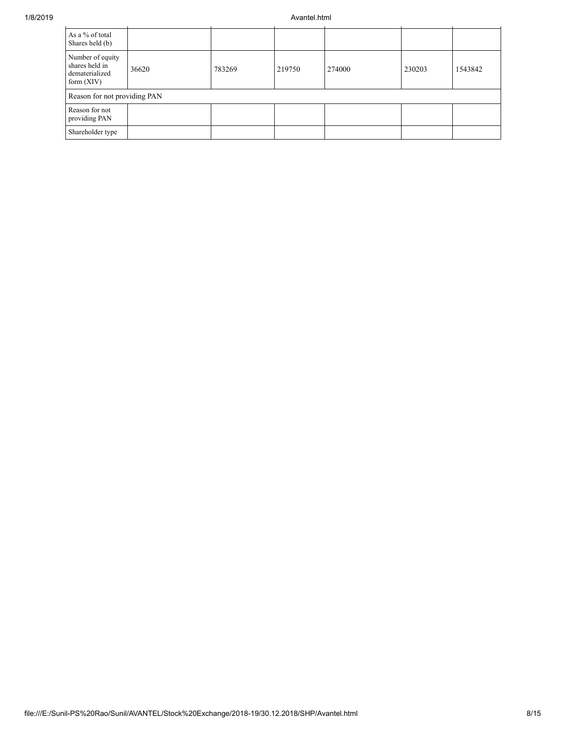## 1/8/2019 Avantel.html

| As a % of total<br>Shares held (b)                                   |       |        |        |        |        |         |
|----------------------------------------------------------------------|-------|--------|--------|--------|--------|---------|
| Number of equity<br>shares held in<br>dematerialized<br>form $(XIV)$ | 36620 | 783269 | 219750 | 274000 | 230203 | 1543842 |
| Reason for not providing PAN                                         |       |        |        |        |        |         |
| Reason for not<br>providing PAN                                      |       |        |        |        |        |         |
| Shareholder type                                                     |       |        |        |        |        |         |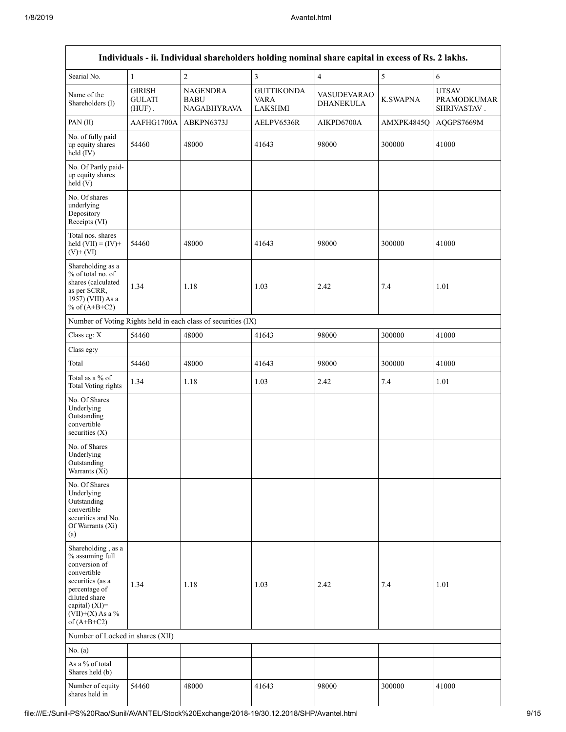|                                                                                                                                                                                      |                                             | Individuals - ii. Individual shareholders holding nominal share capital in excess of Rs. 2 lakhs. |                                      |                                        |                 |                                                   |  |  |
|--------------------------------------------------------------------------------------------------------------------------------------------------------------------------------------|---------------------------------------------|---------------------------------------------------------------------------------------------------|--------------------------------------|----------------------------------------|-----------------|---------------------------------------------------|--|--|
| Searial No.                                                                                                                                                                          | $\mathbf{1}$                                | $\overline{c}$                                                                                    | $\overline{3}$                       | $\overline{\mathbf{4}}$                | 5               | 6                                                 |  |  |
| Name of the<br>Shareholders (I)                                                                                                                                                      | <b>GIRISH</b><br><b>GULATI</b><br>$(HUF)$ . | NAGENDRA<br>BABU<br><b>NAGABHYRAVA</b>                                                            | <b>GUTTIKONDA</b><br>VARA<br>LAKSHMI | <b>VASUDEVARAO</b><br><b>DHANEKULA</b> | <b>K.SWAPNA</b> | <b>UTSAV</b><br><b>PRAMODKUMAR</b><br>SHRIVASTAV. |  |  |
| PAN (II)                                                                                                                                                                             | AAFHG1700A                                  | ABKPN6373J                                                                                        | AELPV6536R                           | AIKPD6700A                             | AMXPK4845Q      | AQGPS7669M                                        |  |  |
| No. of fully paid<br>up equity shares<br>held (IV)                                                                                                                                   | 54460                                       | 48000                                                                                             | 41643                                | 98000                                  | 300000          | 41000                                             |  |  |
| No. Of Partly paid-<br>up equity shares<br>held(V)                                                                                                                                   |                                             |                                                                                                   |                                      |                                        |                 |                                                   |  |  |
| No. Of shares<br>underlying<br>Depository<br>Receipts (VI)                                                                                                                           |                                             |                                                                                                   |                                      |                                        |                 |                                                   |  |  |
| Total nos. shares<br>held $(VII) = (IV) +$<br>$(V)$ + $(VI)$                                                                                                                         | 54460                                       | 48000                                                                                             | 41643                                | 98000                                  | 300000          | 41000                                             |  |  |
| Shareholding as a<br>% of total no. of<br>shares (calculated<br>as per SCRR,<br>1957) (VIII) As a<br>% of $(A+B+C2)$                                                                 | 1.34                                        | 1.18                                                                                              | 1.03                                 | 2.42                                   | 7.4             | 1.01                                              |  |  |
| Number of Voting Rights held in each class of securities (IX)                                                                                                                        |                                             |                                                                                                   |                                      |                                        |                 |                                                   |  |  |
| Class eg: X                                                                                                                                                                          | 54460                                       | 48000                                                                                             | 41643                                | 98000                                  | 300000          | 41000                                             |  |  |
| Class eg:y                                                                                                                                                                           |                                             |                                                                                                   |                                      |                                        |                 |                                                   |  |  |
| Total                                                                                                                                                                                | 54460                                       | 48000                                                                                             | 41643                                | 98000                                  | 300000          | 41000                                             |  |  |
| Total as a % of<br><b>Total Voting rights</b>                                                                                                                                        | 1.34                                        | 1.18                                                                                              | 1.03                                 | 2.42                                   | 7.4             | 1.01                                              |  |  |
| No. Of Shares<br>Underlying<br>Outstanding<br>convertible<br>securities $(X)$                                                                                                        |                                             |                                                                                                   |                                      |                                        |                 |                                                   |  |  |
| No. of Shares<br>Underlying<br>Outstanding<br>Warrants (Xi)                                                                                                                          |                                             |                                                                                                   |                                      |                                        |                 |                                                   |  |  |
| No. Of Shares<br>Underlying<br>Outstanding<br>convertible<br>securities and No.<br>Of Warrants (Xi)<br>(a)                                                                           |                                             |                                                                                                   |                                      |                                        |                 |                                                   |  |  |
| Shareholding, as a<br>% assuming full<br>conversion of<br>convertible<br>securities (as a<br>percentage of<br>diluted share<br>capital) (XI)=<br>$(VII)+(X)$ As a %<br>of $(A+B+C2)$ | 1.34                                        | 1.18                                                                                              | 1.03                                 | 2.42                                   | 7.4             | 1.01                                              |  |  |
| Number of Locked in shares (XII)                                                                                                                                                     |                                             |                                                                                                   |                                      |                                        |                 |                                                   |  |  |
| No. (a)                                                                                                                                                                              |                                             |                                                                                                   |                                      |                                        |                 |                                                   |  |  |
| As a % of total<br>Shares held (b)                                                                                                                                                   |                                             |                                                                                                   |                                      |                                        |                 |                                                   |  |  |
| Number of equity<br>shares held in                                                                                                                                                   | 54460                                       | 48000                                                                                             | 41643                                | 98000                                  | 300000          | 41000                                             |  |  |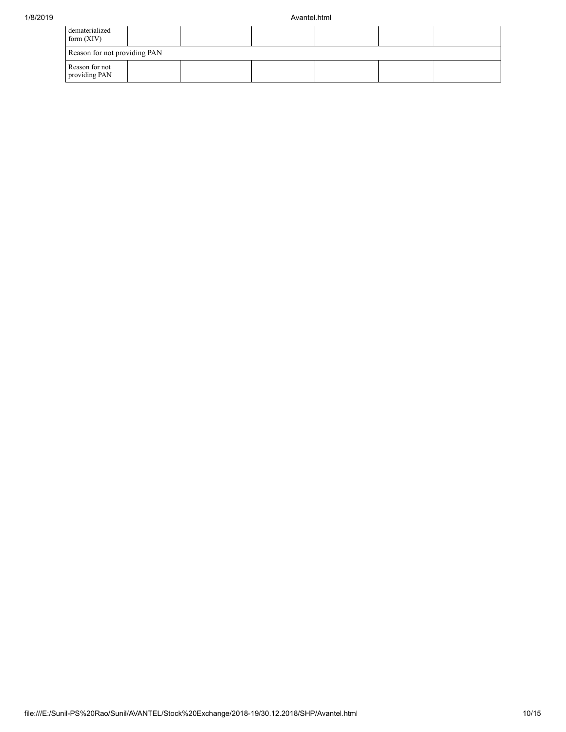| dematerialized<br>form $(XIV)$  |  |  |  |  |  |  |  |
|---------------------------------|--|--|--|--|--|--|--|
| Reason for not providing PAN    |  |  |  |  |  |  |  |
| Reason for not<br>providing PAN |  |  |  |  |  |  |  |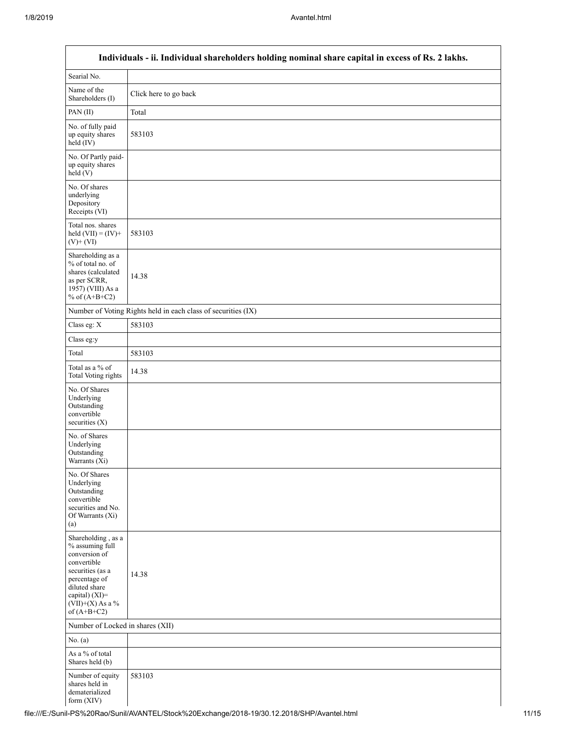Г

|                                                                                                                                                                                      | Individuals - ii. Individual shareholders holding nominal share capital in excess of Rs. 2 lakhs. |  |  |  |  |  |  |  |
|--------------------------------------------------------------------------------------------------------------------------------------------------------------------------------------|---------------------------------------------------------------------------------------------------|--|--|--|--|--|--|--|
| Searial No.                                                                                                                                                                          |                                                                                                   |  |  |  |  |  |  |  |
| Name of the<br>Shareholders (I)                                                                                                                                                      | Click here to go back                                                                             |  |  |  |  |  |  |  |
| PAN(II)                                                                                                                                                                              | Total                                                                                             |  |  |  |  |  |  |  |
| No. of fully paid<br>up equity shares<br>$\text{held}(\text{IV})$                                                                                                                    | 583103                                                                                            |  |  |  |  |  |  |  |
| No. Of Partly paid-<br>up equity shares<br>$\text{held} (V)$                                                                                                                         |                                                                                                   |  |  |  |  |  |  |  |
| No. Of shares<br>underlying<br>Depository<br>Receipts (VI)                                                                                                                           |                                                                                                   |  |  |  |  |  |  |  |
| Total nos. shares<br>held $(VII) = (IV) +$<br>$(V)$ + $(VI)$                                                                                                                         | 583103                                                                                            |  |  |  |  |  |  |  |
| Shareholding as a<br>% of total no. of<br>shares (calculated<br>as per SCRR,<br>1957) (VIII) As a<br>% of $(A+B+C2)$                                                                 | 14.38                                                                                             |  |  |  |  |  |  |  |
|                                                                                                                                                                                      | Number of Voting Rights held in each class of securities (IX)                                     |  |  |  |  |  |  |  |
| Class eg: X                                                                                                                                                                          | 583103                                                                                            |  |  |  |  |  |  |  |
| Class eg:y                                                                                                                                                                           |                                                                                                   |  |  |  |  |  |  |  |
| Total                                                                                                                                                                                | 583103                                                                                            |  |  |  |  |  |  |  |
| Total as a % of<br><b>Total Voting rights</b>                                                                                                                                        | 14.38                                                                                             |  |  |  |  |  |  |  |
| No. Of Shares<br>Underlying<br>Outstanding<br>convertible<br>securities (X)                                                                                                          |                                                                                                   |  |  |  |  |  |  |  |
| No. of Shares<br>Underlying<br>Outstanding<br>Warrants (Xi)                                                                                                                          |                                                                                                   |  |  |  |  |  |  |  |
| No. Of Shares<br>Underlying<br>Outstanding<br>convertible<br>securities and No.<br>Of Warrants (Xi)<br>(a)                                                                           |                                                                                                   |  |  |  |  |  |  |  |
| Shareholding, as a<br>% assuming full<br>conversion of<br>convertible<br>securities (as a<br>percentage of<br>diluted share<br>capital) (XI)=<br>$(VII)+(X)$ As a %<br>of $(A+B+C2)$ | 14.38                                                                                             |  |  |  |  |  |  |  |
| Number of Locked in shares (XII)                                                                                                                                                     |                                                                                                   |  |  |  |  |  |  |  |
| No. (a)                                                                                                                                                                              |                                                                                                   |  |  |  |  |  |  |  |
| As a % of total<br>Shares held (b)                                                                                                                                                   |                                                                                                   |  |  |  |  |  |  |  |
| Number of equity<br>shares held in<br>dematerialized<br>form (XIV)                                                                                                                   | 583103                                                                                            |  |  |  |  |  |  |  |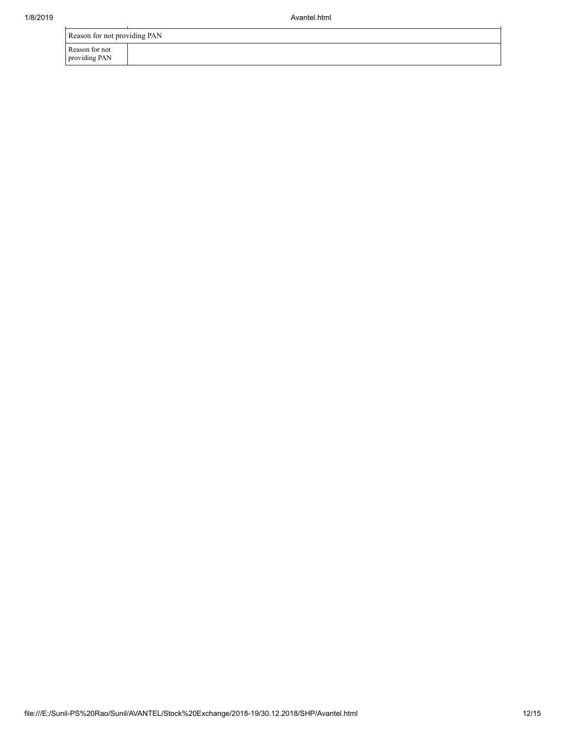| 1/8/2019 |                                 | Avantel.html |
|----------|---------------------------------|--------------|
|          | Reason for not providing PAN    |              |
|          | Reason for not<br>providing PAN |              |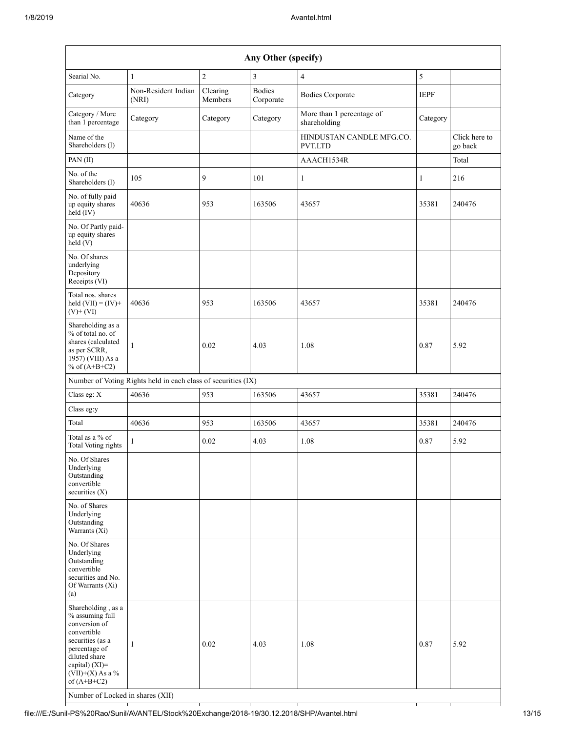| Any Other (specify)                                                                                                                                                                                                      |                                                               |                     |                            |                                           |             |                          |  |  |  |
|--------------------------------------------------------------------------------------------------------------------------------------------------------------------------------------------------------------------------|---------------------------------------------------------------|---------------------|----------------------------|-------------------------------------------|-------------|--------------------------|--|--|--|
| Searial No.                                                                                                                                                                                                              | $\mathbf{1}$                                                  | $\overline{c}$      | $\mathfrak{Z}$             | $\overline{4}$                            | 5           |                          |  |  |  |
| Category                                                                                                                                                                                                                 | Non-Resident Indian<br>(NRI)                                  | Clearing<br>Members | <b>Bodies</b><br>Corporate | <b>Bodies Corporate</b>                   | <b>IEPF</b> |                          |  |  |  |
| Category / More<br>than 1 percentage                                                                                                                                                                                     | Category                                                      | Category            | Category                   | More than 1 percentage of<br>shareholding | Category    |                          |  |  |  |
| Name of the<br>Shareholders (I)                                                                                                                                                                                          |                                                               |                     |                            | HINDUSTAN CANDLE MFG.CO.<br>PVT.LTD       |             | Click here to<br>go back |  |  |  |
| PAN (II)                                                                                                                                                                                                                 |                                                               |                     |                            | AAACH1534R                                |             | Total                    |  |  |  |
| No. of the<br>Shareholders (I)                                                                                                                                                                                           | 105                                                           | 9                   | 101                        | 1                                         | 1           | 216                      |  |  |  |
| No. of fully paid<br>up equity shares<br>$\text{held}(\text{IV})$                                                                                                                                                        | 40636                                                         | 953                 | 163506                     | 43657                                     | 35381       | 240476                   |  |  |  |
| No. Of Partly paid-<br>up equity shares<br>held(V)                                                                                                                                                                       |                                                               |                     |                            |                                           |             |                          |  |  |  |
| No. Of shares<br>underlying<br>Depository<br>Receipts (VI)                                                                                                                                                               |                                                               |                     |                            |                                           |             |                          |  |  |  |
| Total nos. shares<br>held $(VII) = (IV) +$<br>$(V)$ + $(VI)$                                                                                                                                                             | 40636                                                         | 953                 | 163506                     | 43657                                     | 35381       | 240476                   |  |  |  |
| Shareholding as a<br>% of total no. of<br>shares (calculated<br>as per SCRR,<br>1957) (VIII) As a<br>% of $(A+B+C2)$                                                                                                     | 1                                                             | 0.02                | 4.03                       | 1.08                                      | 0.87        | 5.92                     |  |  |  |
|                                                                                                                                                                                                                          | Number of Voting Rights held in each class of securities (IX) |                     |                            |                                           |             |                          |  |  |  |
| Class eg: X                                                                                                                                                                                                              | 40636                                                         | 953                 | 163506                     | 43657                                     | 35381       | 240476                   |  |  |  |
| Class eg:y                                                                                                                                                                                                               |                                                               |                     |                            |                                           |             |                          |  |  |  |
| Total                                                                                                                                                                                                                    | 40636                                                         | 953                 | 163506                     | 43657                                     | 35381       | 240476                   |  |  |  |
| Total as a % of<br>Total Voting rights                                                                                                                                                                                   | 1                                                             | 0.02                | 4.03                       | 1.08                                      | 0.87        | 5.92                     |  |  |  |
| No. Of Shares<br>Underlying<br>Outstanding<br>convertible<br>securities (X)                                                                                                                                              |                                                               |                     |                            |                                           |             |                          |  |  |  |
| No. of Shares<br>Underlying<br>Outstanding<br>Warrants (Xi)                                                                                                                                                              |                                                               |                     |                            |                                           |             |                          |  |  |  |
| No. Of Shares<br>Underlying<br>Outstanding<br>convertible<br>securities and No.<br>Of Warrants (Xi)<br>(a)                                                                                                               |                                                               |                     |                            |                                           |             |                          |  |  |  |
| Shareholding, as a<br>% assuming full<br>conversion of<br>convertible<br>securities (as a<br>percentage of<br>diluted share<br>capital) (XI)=<br>$(VII)+(X)$ As a %<br>of $(A+B+C2)$<br>Number of Locked in shares (XII) | $\mathbf{1}$                                                  | 0.02                | 4.03                       | 1.08                                      | 0.87        | 5.92                     |  |  |  |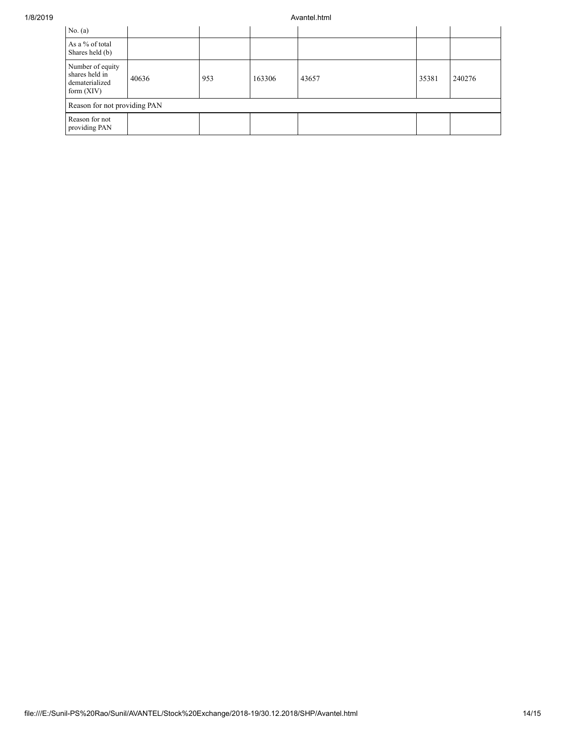## 1/8/2019 Avantel.html

| No. (a)                                                              |       |     |        |       |       |        |  |  |  |  |
|----------------------------------------------------------------------|-------|-----|--------|-------|-------|--------|--|--|--|--|
| As a % of total<br>Shares held (b)                                   |       |     |        |       |       |        |  |  |  |  |
| Number of equity<br>shares held in<br>dematerialized<br>form $(XIV)$ | 40636 | 953 | 163306 | 43657 | 35381 | 240276 |  |  |  |  |
| Reason for not providing PAN                                         |       |     |        |       |       |        |  |  |  |  |
| Reason for not<br>providing PAN                                      |       |     |        |       |       |        |  |  |  |  |